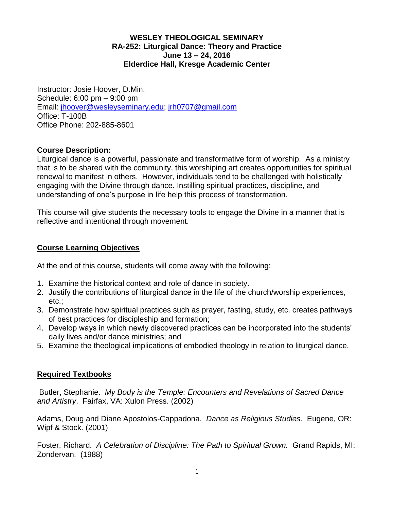## **WESLEY THEOLOGICAL SEMINARY RA-252: Liturgical Dance: Theory and Practice June 13 – 24, 2016 Elderdice Hall, Kresge Academic Center**

Instructor: Josie Hoover, D.Min. Schedule: 6:00 pm – 9:00 pm Email: [jhoover@wesleyseminary.edu;](mailto:jhoover@wesleyseminary.edu) [jrh0707@gmail.com](mailto:jrh0707@gmail.com) Office: T-100B Office Phone: 202-885-8601

## **Course Description:**

Liturgical dance is a powerful, passionate and transformative form of worship. As a ministry that is to be shared with the community, this worshiping art creates opportunities for spiritual renewal to manifest in others. However, individuals tend to be challenged with holistically engaging with the Divine through dance. Instilling spiritual practices, discipline, and understanding of one's purpose in life help this process of transformation.

This course will give students the necessary tools to engage the Divine in a manner that is reflective and intentional through movement.

### **Course Learning Objectives**

At the end of this course, students will come away with the following:

- 1. Examine the historical context and role of dance in society.
- 2. Justify the contributions of liturgical dance in the life of the church/worship experiences, etc.;
- 3. Demonstrate how spiritual practices such as prayer, fasting, study, etc. creates pathways of best practices for discipleship and formation;
- 4. Develop ways in which newly discovered practices can be incorporated into the students' daily lives and/or dance ministries; and
- 5. Examine the theological implications of embodied theology in relation to liturgical dance.

## **Required Textbooks**

Butler, Stephanie. *My Body is the Temple: Encounters and Revelations of Sacred Dance and Artistry*. Fairfax, VA: Xulon Press. (2002)

Adams, Doug and Diane Apostolos-Cappadona. *Dance as Religious Studies.* Eugene, OR: Wipf & Stock. (2001)

Foster, Richard. *A Celebration of Discipline: The Path to Spiritual Grown.* Grand Rapids, MI: Zondervan. (1988)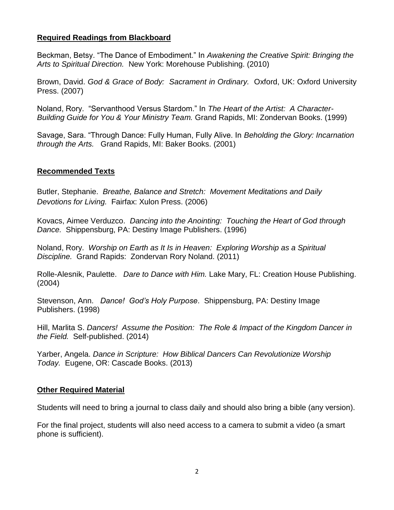## **Required Readings from Blackboard**

Beckman, Betsy. "The Dance of Embodiment." In *Awakening the Creative Spirit: Bringing the Arts to Spiritual Direction.* New York: Morehouse Publishing. (2010)

Brown, David. *God & Grace of Body: Sacrament in Ordinary.* Oxford, UK: Oxford University Press. (2007)

Noland, Rory. "Servanthood Versus Stardom." In *The Heart of the Artist: A Character-Building Guide for You & Your Ministry Team.* Grand Rapids, MI: Zondervan Books. (1999)

Savage, Sara. "Through Dance: Fully Human, Fully Alive. In *Beholding the Glory: Incarnation through the Arts.* Grand Rapids, MI: Baker Books. (2001)

### **Recommended Texts**

Butler, Stephanie. *Breathe, Balance and Stretch: Movement Meditations and Daily Devotions for Living.* Fairfax: Xulon Press. (2006)

Kovacs, Aimee Verduzco. *Dancing into the Anointing: Touching the Heart of God through Dance.* Shippensburg, PA: Destiny Image Publishers. (1996)

Noland, Rory. *Worship on Earth as It Is in Heaven: Exploring Worship as a Spiritual Discipline.* Grand Rapids: Zondervan Rory Noland. (2011)

Rolle-Alesnik, Paulette. *Dare to Dance with Him.* Lake Mary, FL: Creation House Publishing. (2004)

Stevenson, Ann. *Dance! God's Holy Purpose*. Shippensburg, PA: Destiny Image Publishers. (1998)

Hill, Marlita S. *Dancers! Assume the Position: The Role & Impact of the Kingdom Dancer in the Field.* Self-published. (2014)

Yarber, Angela. *Dance in Scripture: How Biblical Dancers Can Revolutionize Worship Today.* Eugene, OR: Cascade Books. (2013)

### **Other Required Material**

Students will need to bring a journal to class daily and should also bring a bible (any version).

For the final project, students will also need access to a camera to submit a video (a smart phone is sufficient).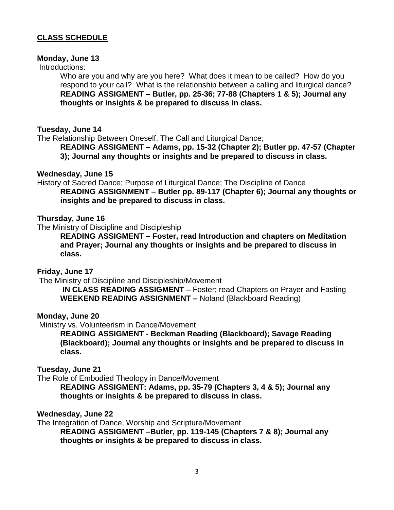## **CLASS SCHEDULE**

#### **Monday, June 13**

### Introductions:

Who are you and why are you here? What does it mean to be called? How do you respond to your call? What is the relationship between a calling and liturgical dance? **READING ASSIGMENT – Butler, pp. 25-36; 77-88 (Chapters 1 & 5); Journal any thoughts or insights & be prepared to discuss in class.**

### **Tuesday, June 14**

The Relationship Between Oneself, The Call and Liturgical Dance;

**READING ASSIGMENT – Adams, pp. 15-32 (Chapter 2); Butler pp. 47-57 (Chapter 3); Journal any thoughts or insights and be prepared to discuss in class.** 

### **Wednesday, June 15**

History of Sacred Dance; Purpose of Liturgical Dance; The Discipline of Dance **READING ASSIGNMENT – Butler pp. 89-117 (Chapter 6); Journal any thoughts or insights and be prepared to discuss in class.**

#### **Thursday, June 16**

The Ministry of Discipline and Discipleship

**READING ASSIGMENT – Foster, read Introduction and chapters on Meditation and Prayer; Journal any thoughts or insights and be prepared to discuss in class.** 

### **Friday, June 17**

The Ministry of Discipline and Discipleship/Movement

**IN CLASS READING ASSIGMENT –** Foster; read Chapters on Prayer and Fasting **WEEKEND READING ASSIGNMENT –** Noland (Blackboard Reading)

#### **Monday, June 20**

Ministry vs. Volunteerism in Dance/Movement

**READING ASSIGMENT - Beckman Reading (Blackboard); Savage Reading (Blackboard); Journal any thoughts or insights and be prepared to discuss in class.** 

### **Tuesday, June 21**

The Role of Embodied Theology in Dance/Movement

**READING ASSIGMENT: Adams, pp. 35-79 (Chapters 3, 4 & 5); Journal any thoughts or insights & be prepared to discuss in class.** 

### **Wednesday, June 22**

The Integration of Dance, Worship and Scripture/Movement **READING ASSIGMENT –Butler, pp. 119-145 (Chapters 7 & 8); Journal any thoughts or insights & be prepared to discuss in class.**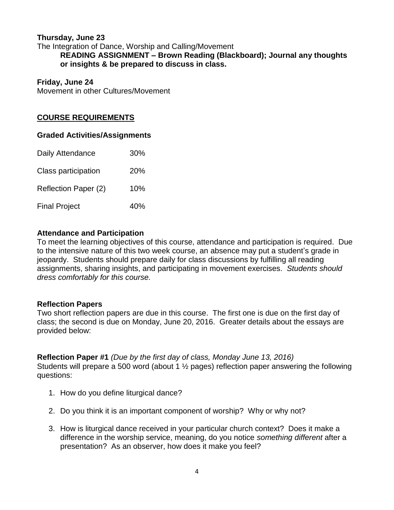## **Thursday, June 23**

The Integration of Dance, Worship and Calling/Movement **READING ASSIGNMENT – Brown Reading (Blackboard); Journal any thoughts or insights & be prepared to discuss in class.**

### **Friday, June 24**

Movement in other Cultures/Movement

## **COURSE REQUIREMENTS**

## **Graded Activities/Assignments**

| Daily Attendance     | 30% |
|----------------------|-----|
| Class participation  | 20% |
| Reflection Paper (2) | 10% |
| <b>Final Project</b> | 40% |

## **Attendance and Participation**

To meet the learning objectives of this course, attendance and participation is required. Due to the intensive nature of this two week course, an absence may put a student's grade in jeopardy. Students should prepare daily for class discussions by fulfilling all reading assignments, sharing insights, and participating in movement exercises. *Students should dress comfortably for this course.* 

## **Reflection Papers**

Two short reflection papers are due in this course. The first one is due on the first day of class; the second is due on Monday, June 20, 2016. Greater details about the essays are provided below:

## **Reflection Paper #1** *(Due by the first day of class, Monday June 13, 2016)*

Students will prepare a 500 word (about 1 ½ pages) reflection paper answering the following questions:

- 1. How do you define liturgical dance?
- 2. Do you think it is an important component of worship? Why or why not?
- 3. How is liturgical dance received in your particular church context? Does it make a difference in the worship service, meaning, do you notice *something different* after a presentation? As an observer, how does it make you feel?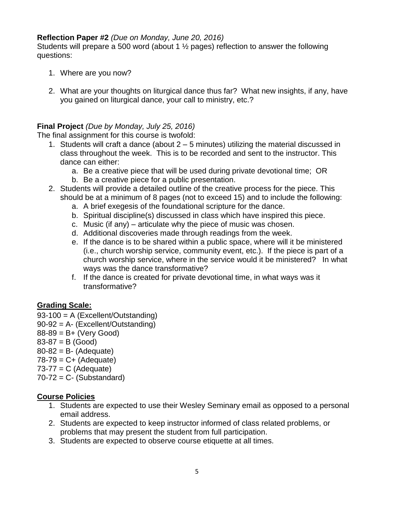# **Reflection Paper #2** *(Due on Monday, June 20, 2016)*

Students will prepare a 500 word (about 1 ½ pages) reflection to answer the following questions:

- 1. Where are you now?
- 2. What are your thoughts on liturgical dance thus far? What new insights, if any, have you gained on liturgical dance, your call to ministry, etc.?

# **Final Project** *(Due by Monday, July 25, 2016)*

The final assignment for this course is twofold:

- 1. Students will craft a dance (about 2 5 minutes) utilizing the material discussed in class throughout the week. This is to be recorded and sent to the instructor. This dance can either:
	- a. Be a creative piece that will be used during private devotional time; OR
	- b. Be a creative piece for a public presentation.
- 2. Students will provide a detailed outline of the creative process for the piece. This should be at a minimum of 8 pages (not to exceed 15) and to include the following:
	- a. A brief exegesis of the foundational scripture for the dance.
	- b. Spiritual discipline(s) discussed in class which have inspired this piece.
	- c. Music (if any) articulate why the piece of music was chosen.
	- d. Additional discoveries made through readings from the week.
	- e. If the dance is to be shared within a public space, where will it be ministered (i.e., church worship service, community event, etc.). If the piece is part of a church worship service, where in the service would it be ministered? In what ways was the dance transformative?
	- f. If the dance is created for private devotional time, in what ways was it transformative?

# **Grading Scale:**

- 93-100 = A (Excellent/Outstanding)
- 90-92 = A- (Excellent/Outstanding)
- $88-89 = B+$  (Very Good)
- $83-87 = B$  (Good)
- $80-82 = B (Adequate)$
- $78-79 = C + (Adequate)$
- $73-77 = C$  (Adequate)
- $70-72 = C -$  (Substandard)

## **Course Policies**

- 1. Students are expected to use their Wesley Seminary email as opposed to a personal email address.
- 2. Students are expected to keep instructor informed of class related problems, or problems that may present the student from full participation.
- 3. Students are expected to observe course etiquette at all times.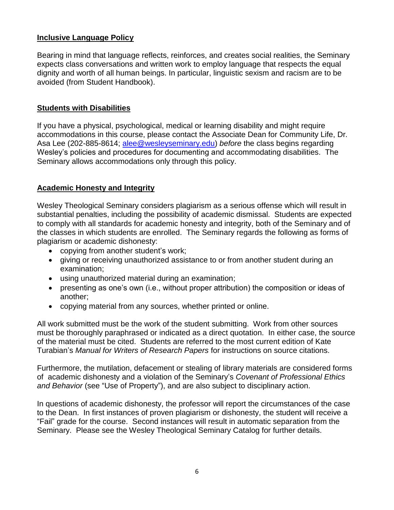## **Inclusive Language Policy**

Bearing in mind that language reflects, reinforces, and creates social realities, the Seminary expects class conversations and written work to employ language that respects the equal dignity and worth of all human beings. In particular, linguistic sexism and racism are to be avoided (from Student Handbook).

## **Students with Disabilities**

If you have a physical, psychological, medical or learning disability and might require accommodations in this course, please contact the Associate Dean for Community Life, Dr. Asa Lee (202-885-8614; [alee@wesleyseminary.edu\)](mailto:alee@wesleyseminary.edu) *before* the class begins regarding Wesley's policies and procedures for documenting and accommodating disabilities. The Seminary allows accommodations only through this policy.

## **Academic Honesty and Integrity**

Wesley Theological Seminary considers plagiarism as a serious offense which will result in substantial penalties, including the possibility of academic dismissal. Students are expected to comply with all standards for academic honesty and integrity, both of the Seminary and of the classes in which students are enrolled. The Seminary regards the following as forms of plagiarism or academic dishonesty:

- copying from another student's work;
- giving or receiving unauthorized assistance to or from another student during an examination;
- using unauthorized material during an examination;
- presenting as one's own (i.e., without proper attribution) the composition or ideas of another;
- copying material from any sources, whether printed or online.

All work submitted must be the work of the student submitting. Work from other sources must be thoroughly paraphrased or indicated as a direct quotation. In either case, the source of the material must be cited. Students are referred to the most current edition of Kate Turabian's *Manual for Writers of Research Papers* for instructions on source citations.

Furthermore, the mutilation, defacement or stealing of library materials are considered forms of academic dishonesty and a violation of the Seminary's *Covenant of Professional Ethics and Behavior* (see "Use of Property"), and are also subject to disciplinary action.

In questions of academic dishonesty, the professor will report the circumstances of the case to the Dean. In first instances of proven plagiarism or dishonesty, the student will receive a "Fail" grade for the course. Second instances will result in automatic separation from the Seminary. Please see the Wesley Theological Seminary Catalog for further details.